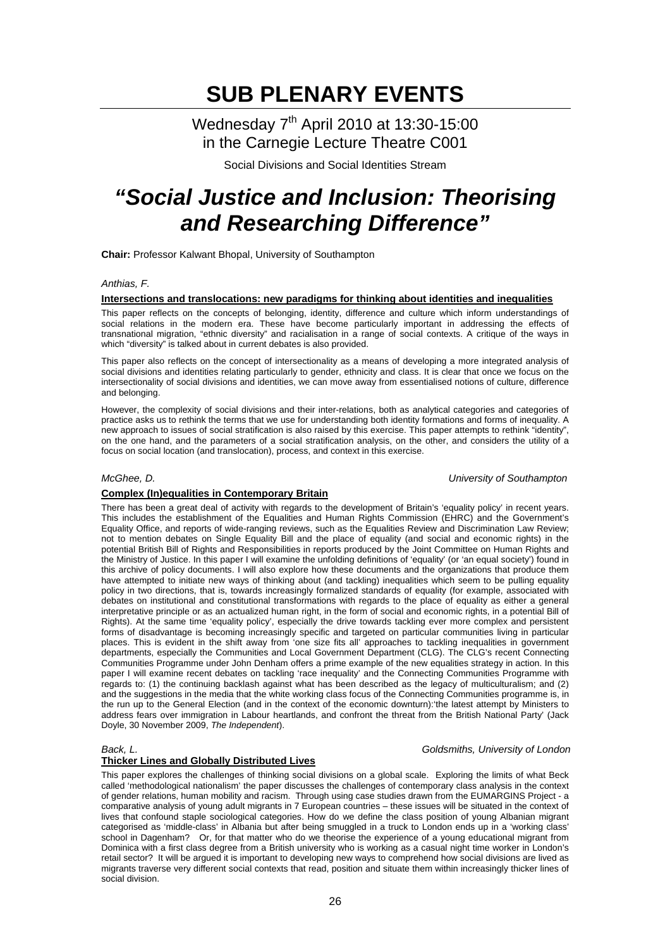Wednesday 7<sup>th</sup> April 2010 at 13:30-15:00 in the Carnegie Lecture Theatre C001

Social Divisions and Social Identities Stream

## *"Social Justice and Inclusion: Theorising and Researching Difference"*

**Chair:** Professor Kalwant Bhopal, University of Southampton

#### *Anthias, F.*

### **Intersections and translocations: new paradigms for thinking about identities and inequalities**

This paper reflects on the concepts of belonging, identity, difference and culture which inform understandings of social relations in the modern era. These have become particularly important in addressing the effects of transnational migration, "ethnic diversity" and racialisation in a range of social contexts. A critique of the ways in which "diversity" is talked about in current debates is also provided.

This paper also reflects on the concept of intersectionality as a means of developing a more integrated analysis of social divisions and identities relating particularly to gender, ethnicity and class. It is clear that once we focus on the intersectionality of social divisions and identities, we can move away from essentialised notions of culture, difference and belonging.

However, the complexity of social divisions and their inter-relations, both as analytical categories and categories of practice asks us to rethink the terms that we use for understanding both identity formations and forms of inequality. A new approach to issues of social stratification is also raised by this exercise. This paper attempts to rethink "identity", on the one hand, and the parameters of a social stratification analysis, on the other, and considers the utility of a focus on social location (and translocation), process, and context in this exercise.

*McGhee, D. University of Southampton* 

#### **Complex (In)equalities in Contemporary Britain**

There has been a great deal of activity with regards to the development of Britain's 'equality policy' in recent years. This includes the establishment of the Equalities and Human Rights Commission (EHRC) and the Government's Equality Office, and reports of wide-ranging reviews, such as the Equalities Review and Discrimination Law Review; not to mention debates on Single Equality Bill and the place of equality (and social and economic rights) in the potential British Bill of Rights and Responsibilities in reports produced by the Joint Committee on Human Rights and the Ministry of Justice. In this paper I will examine the unfolding definitions of 'equality' (or 'an equal society') found in this archive of policy documents. I will also explore how these documents and the organizations that produce them have attempted to initiate new ways of thinking about (and tackling) inequalities which seem to be pulling equality policy in two directions, that is, towards increasingly formalized standards of equality (for example, associated with debates on institutional and constitutional transformations with regards to the place of equality as either a general interpretative principle or as an actualized human right, in the form of social and economic rights, in a potential Bill of Rights). At the same time 'equality policy', especially the drive towards tackling ever more complex and persistent forms of disadvantage is becoming increasingly specific and targeted on particular communities living in particular places. This is evident in the shift away from 'one size fits all' approaches to tackling inequalities in government departments, especially the Communities and Local Government Department (CLG). The CLG's recent Connecting Communities Programme under John Denham offers a prime example of the new equalities strategy in action. In this paper I will examine recent debates on tackling 'race inequality' and the Connecting Communities Programme with regards to: (1) the continuing backlash against what has been described as the legacy of multiculturalism; and (2) and the suggestions in the media that the white working class focus of the Connecting Communities programme is, in the run up to the General Election (and in the context of the economic downturn):'the latest attempt by Ministers to address fears over immigration in Labour heartlands, and confront the threat from the British National Party' (Jack Doyle, 30 November 2009, *The Independent*).

#### **Thicker Lines and Globally Distributed Lives**

This paper explores the challenges of thinking social divisions on a global scale. Exploring the limits of what Beck called 'methodological nationalism' the paper discusses the challenges of contemporary class analysis in the context of gender relations, human mobility and racism. Through using case studies drawn from the EUMARGINS Project - a comparative analysis of young adult migrants in 7 European countries – these issues will be situated in the context of lives that confound staple sociological categories. How do we define the class position of young Albanian migrant categorised as 'middle-class' in Albania but after being smuggled in a truck to London ends up in a 'working class' school in Dagenham? Or, for that matter who do we theorise the experience of a young educational migrant from Dominica with a first class degree from a British university who is working as a casual night time worker in London's retail sector? It will be argued it is important to developing new ways to comprehend how social divisions are lived as migrants traverse very different social contexts that read, position and situate them within increasingly thicker lines of social division.

### *Back, L. Goldsmiths, University of London*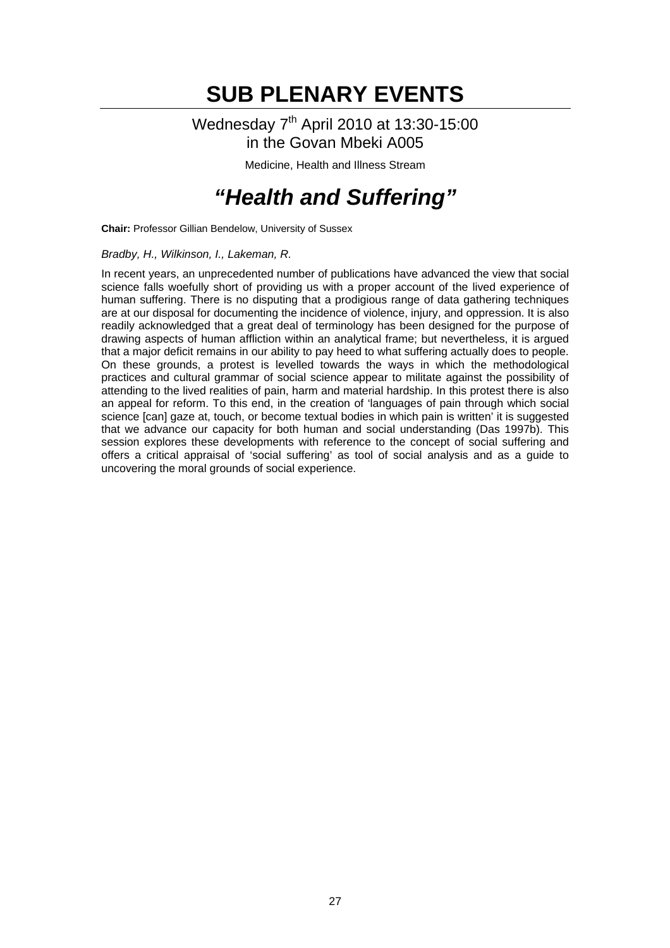### Wednesday 7<sup>th</sup> April 2010 at 13:30-15:00 in the Govan Mbeki A005

Medicine, Health and Illness Stream

## *"Health and Suffering"*

**Chair:** Professor Gillian Bendelow, University of Sussex

### *Bradby, H., Wilkinson, I., Lakeman, R.*

In recent years, an unprecedented number of publications have advanced the view that social science falls woefully short of providing us with a proper account of the lived experience of human suffering. There is no disputing that a prodigious range of data gathering techniques are at our disposal for documenting the incidence of violence, injury, and oppression. It is also readily acknowledged that a great deal of terminology has been designed for the purpose of drawing aspects of human affliction within an analytical frame; but nevertheless, it is argued that a major deficit remains in our ability to pay heed to what suffering actually does to people. On these grounds, a protest is levelled towards the ways in which the methodological practices and cultural grammar of social science appear to militate against the possibility of attending to the lived realities of pain, harm and material hardship. In this protest there is also an appeal for reform. To this end, in the creation of 'languages of pain through which social science [can] gaze at, touch, or become textual bodies in which pain is written' it is suggested that we advance our capacity for both human and social understanding (Das 1997b). This session explores these developments with reference to the concept of social suffering and offers a critical appraisal of 'social suffering' as tool of social analysis and as a guide to uncovering the moral grounds of social experience.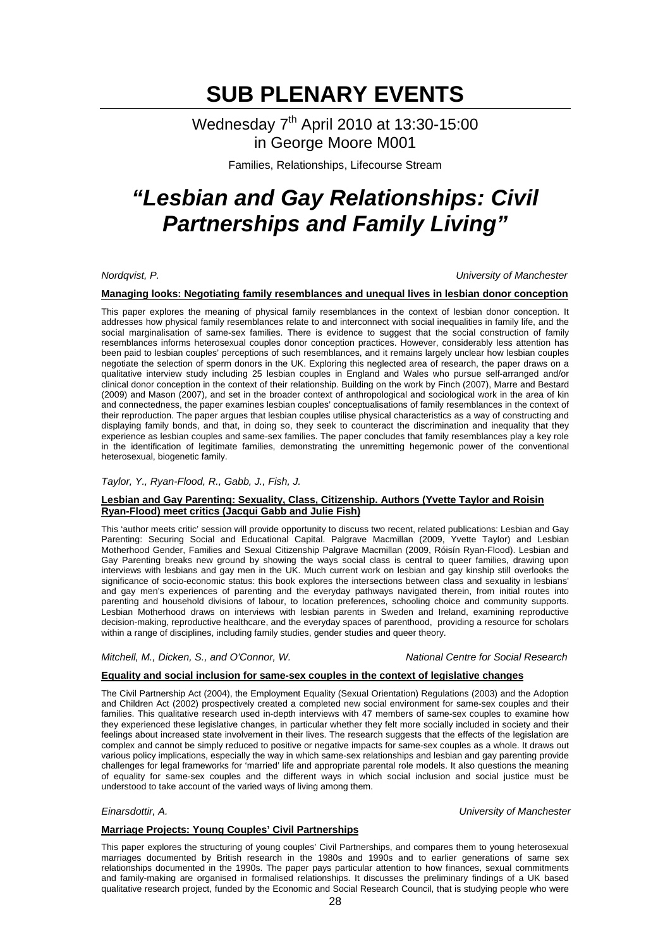### Wednesday 7<sup>th</sup> April 2010 at 13:30-15:00 in George Moore M001

Families, Relationships, Lifecourse Stream

# *"Lesbian and Gay Relationships: Civil Partnerships and Family Living"*

*Nordqvist, P. University of Manchester* 

#### **Managing looks: Negotiating family resemblances and unequal lives in lesbian donor conception**

This paper explores the meaning of physical family resemblances in the context of lesbian donor conception. It addresses how physical family resemblances relate to and interconnect with social inequalities in family life, and the social marginalisation of same-sex families. There is evidence to suggest that the social construction of family resemblances informs heterosexual couples donor conception practices. However, considerably less attention has been paid to lesbian couples' perceptions of such resemblances, and it remains largely unclear how lesbian couples negotiate the selection of sperm donors in the UK. Exploring this neglected area of research, the paper draws on a qualitative interview study including 25 lesbian couples in England and Wales who pursue self-arranged and/or clinical donor conception in the context of their relationship. Building on the work by Finch (2007), Marre and Bestard (2009) and Mason (2007), and set in the broader context of anthropological and sociological work in the area of kin and connectedness, the paper examines lesbian couples' conceptualisations of family resemblances in the context of their reproduction. The paper argues that lesbian couples utilise physical characteristics as a way of constructing and displaying family bonds, and that, in doing so, they seek to counteract the discrimination and inequality that they experience as lesbian couples and same-sex families. The paper concludes that family resemblances play a key role in the identification of legitimate families, demonstrating the unremitting hegemonic power of the conventional heterosexual, biogenetic family.

### *Taylor, Y., Ryan-Flood, R., Gabb, J., Fish, J.*

### **Lesbian and Gay Parenting: Sexuality, Class, Citizenship. Authors (Yvette Taylor and Roisin Ryan-Flood) meet critics (Jacqui Gabb and Julie Fish)**

This 'author meets critic' session will provide opportunity to discuss two recent, related publications: Lesbian and Gay Parenting: Securing Social and Educational Capital. Palgrave Macmillan (2009, Yvette Taylor) and Lesbian Motherhood Gender, Families and Sexual Citizenship Palgrave Macmillan (2009, Róisín Ryan-Flood). Lesbian and Gay Parenting breaks new ground by showing the ways social class is central to queer families, drawing upon interviews with lesbians and gay men in the UK. Much current work on lesbian and gay kinship still overlooks the significance of socio-economic status: this book explores the intersections between class and sexuality in lesbians' and gay men's experiences of parenting and the everyday pathways navigated therein, from initial routes into parenting and household divisions of labour, to location preferences, schooling choice and community supports. Lesbian Motherhood draws on interviews with lesbian parents in Sweden and Ireland, examining reproductive decision-making, reproductive healthcare, and the everyday spaces of parenthood, providing a resource for scholars within a range of disciplines, including family studies, gender studies and queer theory.

*Mitchell, M., Dicken, S., and O'Connor, W. National Centre for Social Research* 

### **Equality and social inclusion for same-sex couples in the context of legislative changes**

The Civil Partnership Act (2004), the Employment Equality (Sexual Orientation) Regulations (2003) and the Adoption and Children Act (2002) prospectively created a completed new social environment for same-sex couples and their families. This qualitative research used in-depth interviews with 47 members of same-sex couples to examine how they experienced these legislative changes, in particular whether they felt more socially included in society and their feelings about increased state involvement in their lives. The research suggests that the effects of the legislation are complex and cannot be simply reduced to positive or negative impacts for same-sex couples as a whole. It draws out various policy implications, especially the way in which same-sex relationships and lesbian and gay parenting provide challenges for legal frameworks for 'married' life and appropriate parental role models. It also questions the meaning of equality for same-sex couples and the different ways in which social inclusion and social justice must be understood to take account of the varied ways of living among them.

*Einarsdottir, A. University of Manchester* 

### **Marriage Projects: Young Couples' Civil Partnerships**

This paper explores the structuring of young couples' Civil Partnerships, and compares them to young heterosexual marriages documented by British research in the 1980s and 1990s and to earlier generations of same sex relationships documented in the 1990s. The paper pays particular attention to how finances, sexual commitments and family-making are organised in formalised relationships. It discusses the preliminary findings of a UK based qualitative research project, funded by the Economic and Social Research Council, that is studying people who were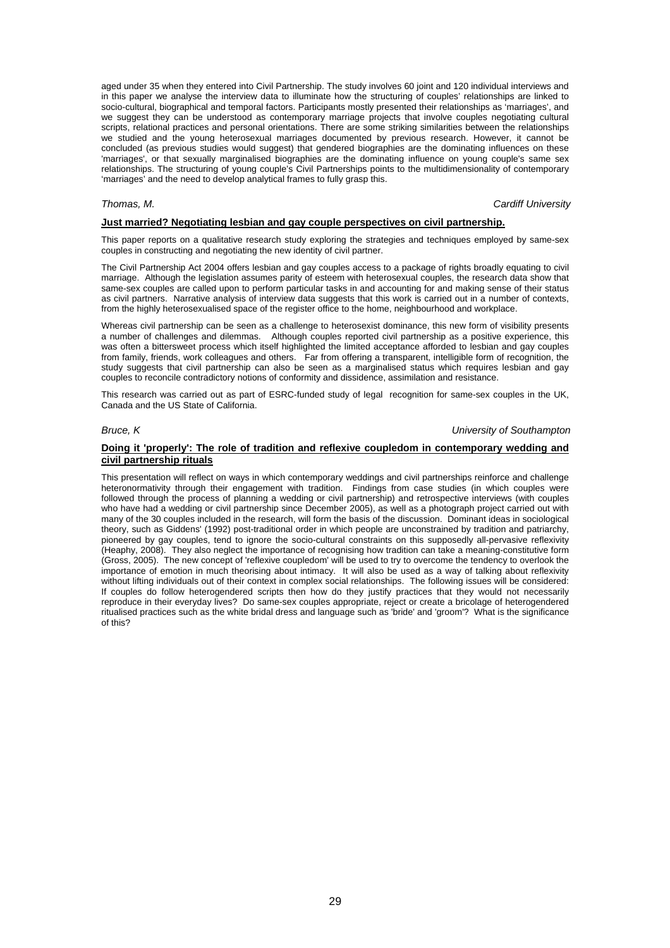aged under 35 when they entered into Civil Partnership. The study involves 60 joint and 120 individual interviews and in this paper we analyse the interview data to illuminate how the structuring of couples' relationships are linked to socio-cultural, biographical and temporal factors. Participants mostly presented their relationships as 'marriages', and we suggest they can be understood as contemporary marriage projects that involve couples negotiating cultural scripts, relational practices and personal orientations. There are some striking similarities between the relationships we studied and the young heterosexual marriages documented by previous research. However, it cannot be concluded (as previous studies would suggest) that gendered biographies are the dominating influences on these 'marriages', or that sexually marginalised biographies are the dominating influence on young couple's same sex relationships. The structuring of young couple's Civil Partnerships points to the multidimensionality of contemporary 'marriages' and the need to develop analytical frames to fully grasp this.

*Thomas, M. Cardiff University* 

#### **Just married? Negotiating lesbian and gay couple perspectives on civil partnership.**

This paper reports on a qualitative research study exploring the strategies and techniques employed by same-sex couples in constructing and negotiating the new identity of civil partner.

The Civil Partnership Act 2004 offers lesbian and gay couples access to a package of rights broadly equating to civil marriage. Although the legislation assumes parity of esteem with heterosexual couples, the research data show that same-sex couples are called upon to perform particular tasks in and accounting for and making sense of their status as civil partners. Narrative analysis of interview data suggests that this work is carried out in a number of contexts, from the highly heterosexualised space of the register office to the home, neighbourhood and workplace.

Whereas civil partnership can be seen as a challenge to heterosexist dominance, this new form of visibility presents a number of challenges and dilemmas. Although couples reported civil partnership as a positive experience, this was often a bittersweet process which itself highlighted the limited acceptance afforded to lesbian and gay couples from family, friends, work colleagues and others. Far from offering a transparent, intelligible form of recognition, the study suggests that civil partnership can also be seen as a marginalised status which requires lesbian and gay couples to reconcile contradictory notions of conformity and dissidence, assimilation and resistance.

This research was carried out as part of ESRC-funded study of legal recognition for same-sex couples in the UK, Canada and the US State of California.

*Bruce, K University of Southampton* 

#### **Doing it 'properly': The role of tradition and reflexive coupledom in contemporary wedding and civil partnership rituals**

This presentation will reflect on ways in which contemporary weddings and civil partnerships reinforce and challenge heteronormativity through their engagement with tradition. Findings from case studies (in which couples were followed through the process of planning a wedding or civil partnership) and retrospective interviews (with couples who have had a wedding or civil partnership since December 2005), as well as a photograph project carried out with many of the 30 couples included in the research, will form the basis of the discussion. Dominant ideas in sociological theory, such as Giddens' (1992) post-traditional order in which people are unconstrained by tradition and patriarchy, pioneered by gay couples, tend to ignore the socio-cultural constraints on this supposedly all-pervasive reflexivity (Heaphy, 2008). They also neglect the importance of recognising how tradition can take a meaning-constitutive form (Gross, 2005). The new concept of 'reflexive coupledom' will be used to try to overcome the tendency to overlook the importance of emotion in much theorising about intimacy. It will also be used as a way of talking about reflexivity without lifting individuals out of their context in complex social relationships. The following issues will be considered: If couples do follow heterogendered scripts then how do they justify practices that they would not necessarily reproduce in their everyday lives? Do same-sex couples appropriate, reject or create a bricolage of heterogendered ritualised practices such as the white bridal dress and language such as 'bride' and 'groom'? What is the significance of this?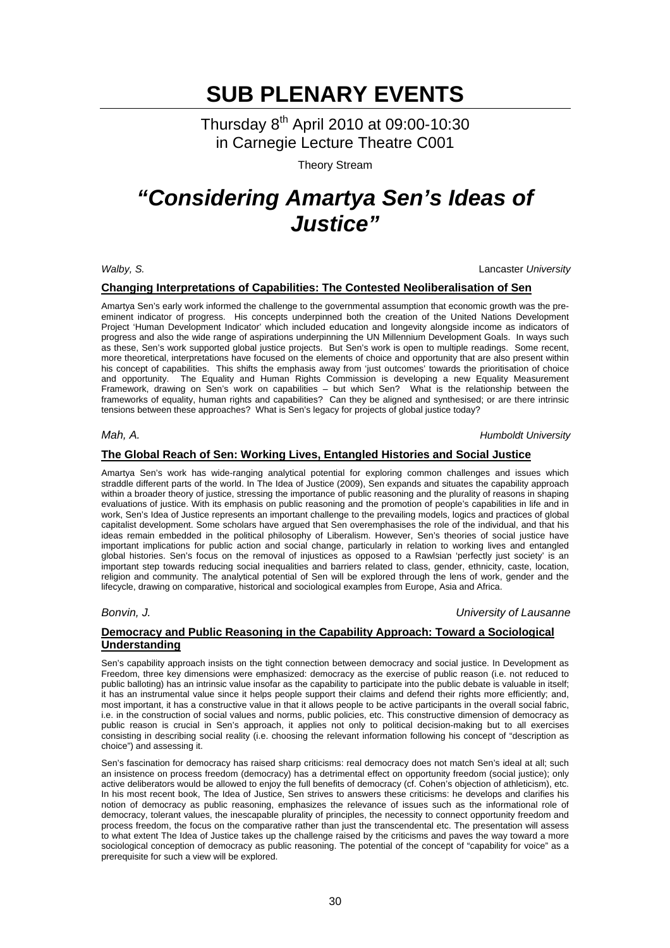Thursday 8th April 2010 at 09:00-10:30 in Carnegie Lecture Theatre C001

Theory Stream

## *"Considering Amartya Sen's Ideas of Justice"*

*Walby, S.* Lancaster *University* 

### **Changing Interpretations of Capabilities: The Contested Neoliberalisation of Sen**

Amartya Sen's early work informed the challenge to the governmental assumption that economic growth was the preeminent indicator of progress. His concepts underpinned both the creation of the United Nations Development Project 'Human Development Indicator' which included education and longevity alongside income as indicators of progress and also the wide range of aspirations underpinning the UN Millennium Development Goals. In ways such as these, Sen's work supported global justice projects. But Sen's work is open to multiple readings. Some recent, more theoretical, interpretations have focused on the elements of choice and opportunity that are also present within his concept of capabilities. This shifts the emphasis away from 'just outcomes' towards the prioritisation of choice and opportunity. The Equality and Human Rights Commission is developing a new Equality Measurement Framework, drawing on Sen's work on capabilities – but which Sen? What is the relationship between the frameworks of equality, human rights and capabilities? Can they be aligned and synthesised; or are there intrinsic tensions between these approaches? What is Sen's legacy for projects of global justice today?

*Mah, A. Humboldt University* 

### **The Global Reach of Sen: Working Lives, Entangled Histories and Social Justice**

Amartya Sen's work has wide-ranging analytical potential for exploring common challenges and issues which straddle different parts of the world. In The Idea of Justice (2009), Sen expands and situates the capability approach within a broader theory of justice, stressing the importance of public reasoning and the plurality of reasons in shaping evaluations of justice. With its emphasis on public reasoning and the promotion of people's capabilities in life and in work, Sen's Idea of Justice represents an important challenge to the prevailing models, logics and practices of global capitalist development. Some scholars have argued that Sen overemphasises the role of the individual, and that his ideas remain embedded in the political philosophy of Liberalism. However, Sen's theories of social justice have important implications for public action and social change, particularly in relation to working lives and entangled global histories. Sen's focus on the removal of injustices as opposed to a Rawlsian 'perfectly just society' is an important step towards reducing social inequalities and barriers related to class, gender, ethnicity, caste, location, religion and community. The analytical potential of Sen will be explored through the lens of work, gender and the lifecycle, drawing on comparative, historical and sociological examples from Europe, Asia and Africa.

*Bonvin, J. University of Lausanne*

### **Democracy and Public Reasoning in the Capability Approach: Toward a Sociological Understanding**

Sen's capability approach insists on the tight connection between democracy and social justice. In Development as Freedom, three key dimensions were emphasized: democracy as the exercise of public reason (i.e. not reduced to public balloting) has an intrinsic value insofar as the capability to participate into the public debate is valuable in itself; it has an instrumental value since it helps people support their claims and defend their rights more efficiently; and, most important, it has a constructive value in that it allows people to be active participants in the overall social fabric, i.e. in the construction of social values and norms, public policies, etc. This constructive dimension of democracy as public reason is crucial in Sen's approach, it applies not only to political decision-making but to all exercises consisting in describing social reality (i.e. choosing the relevant information following his concept of "description as choice") and assessing it.

Sen's fascination for democracy has raised sharp criticisms: real democracy does not match Sen's ideal at all; such an insistence on process freedom (democracy) has a detrimental effect on opportunity freedom (social justice); only active deliberators would be allowed to enjoy the full benefits of democracy (cf. Cohen's objection of athleticism), etc. In his most recent book, The Idea of Justice, Sen strives to answers these criticisms: he develops and clarifies his notion of democracy as public reasoning, emphasizes the relevance of issues such as the informational role of democracy, tolerant values, the inescapable plurality of principles, the necessity to connect opportunity freedom and process freedom, the focus on the comparative rather than just the transcendental etc. The presentation will assess to what extent The Idea of Justice takes up the challenge raised by the criticisms and paves the way toward a more sociological conception of democracy as public reasoning. The potential of the concept of "capability for voice" as a prerequisite for such a view will be explored.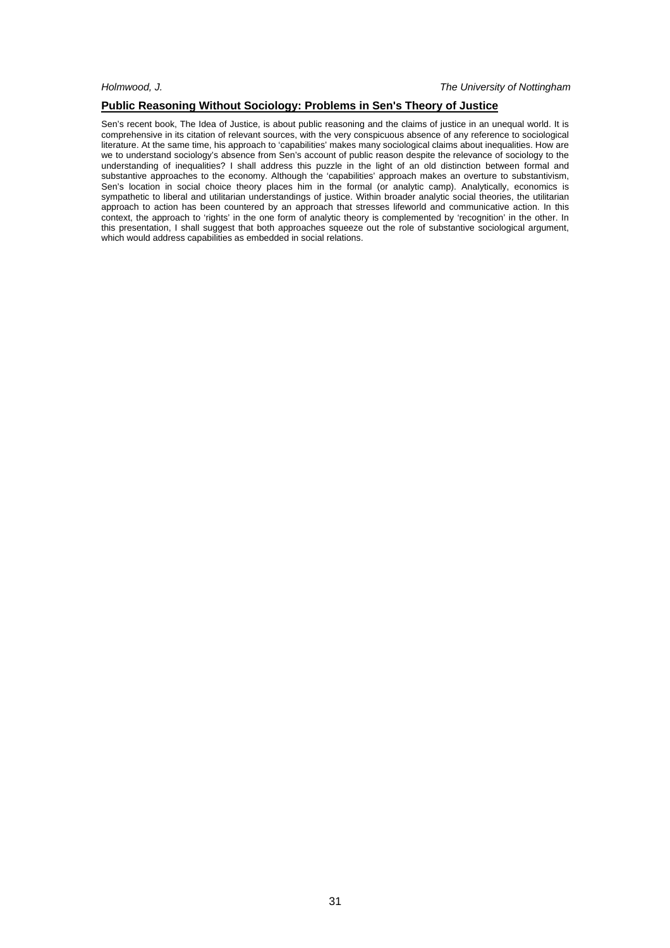### **Public Reasoning Without Sociology: Problems in Sen's Theory of Justice**

Sen's recent book, The Idea of Justice, is about public reasoning and the claims of justice in an unequal world. It is comprehensive in its citation of relevant sources, with the very conspicuous absence of any reference to sociological literature. At the same time, his approach to 'capabilities' makes many sociological claims about inequalities. How are we to understand sociology's absence from Sen's account of public reason despite the relevance of sociology to the understanding of inequalities? I shall address this puzzle in the light of an old distinction between formal and substantive approaches to the economy. Although the 'capabilities' approach makes an overture to substantivism, Sen's location in social choice theory places him in the formal (or analytic camp). Analytically, economics is sympathetic to liberal and utilitarian understandings of justice. Within broader analytic social theories, the utilitarian approach to action has been countered by an approach that stresses lifeworld and communicative action. In this context, the approach to 'rights' in the one form of analytic theory is complemented by 'recognition' in the other. In this presentation, I shall suggest that both approaches squeeze out the role of substantive sociological argument, which would address capabilities as embedded in social relations.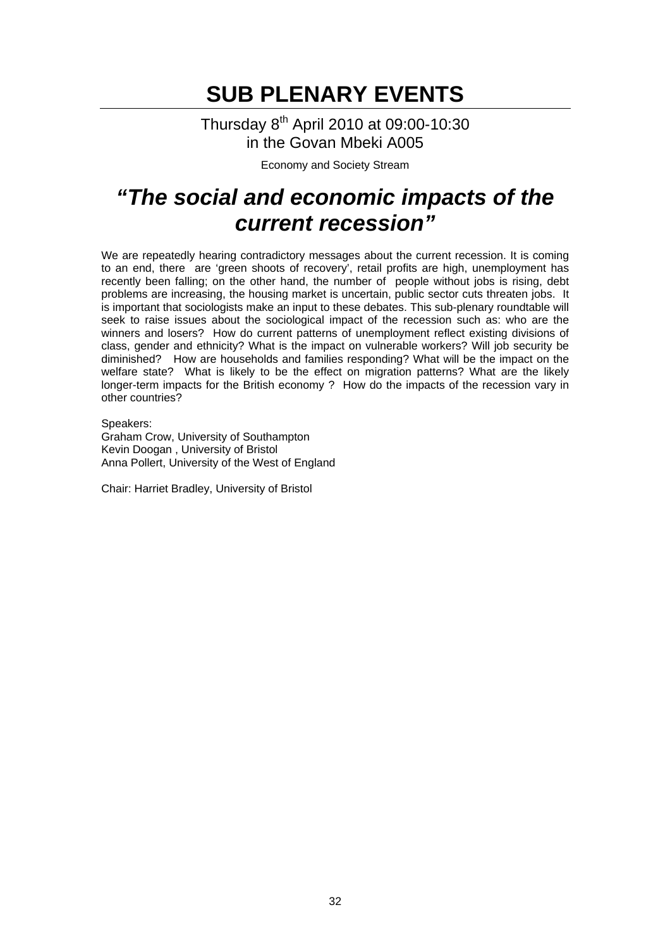Thursday 8th April 2010 at 09:00-10:30 in the Govan Mbeki A005

Economy and Society Stream

## *"The social and economic impacts of the current recession"*

We are repeatedly hearing contradictory messages about the current recession. It is coming to an end, there are 'green shoots of recovery', retail profits are high, unemployment has recently been falling; on the other hand, the number of people without jobs is rising, debt problems are increasing, the housing market is uncertain, public sector cuts threaten jobs. It is important that sociologists make an input to these debates. This sub-plenary roundtable will seek to raise issues about the sociological impact of the recession such as: who are the winners and losers? How do current patterns of unemployment reflect existing divisions of class, gender and ethnicity? What is the impact on vulnerable workers? Will job security be diminished? How are households and families responding? What will be the impact on the welfare state? What is likely to be the effect on migration patterns? What are the likely longer-term impacts for the British economy ? How do the impacts of the recession vary in other countries?

Speakers: Graham Crow, University of Southampton Kevin Doogan , University of Bristol Anna Pollert, University of the West of England

Chair: Harriet Bradley, University of Bristol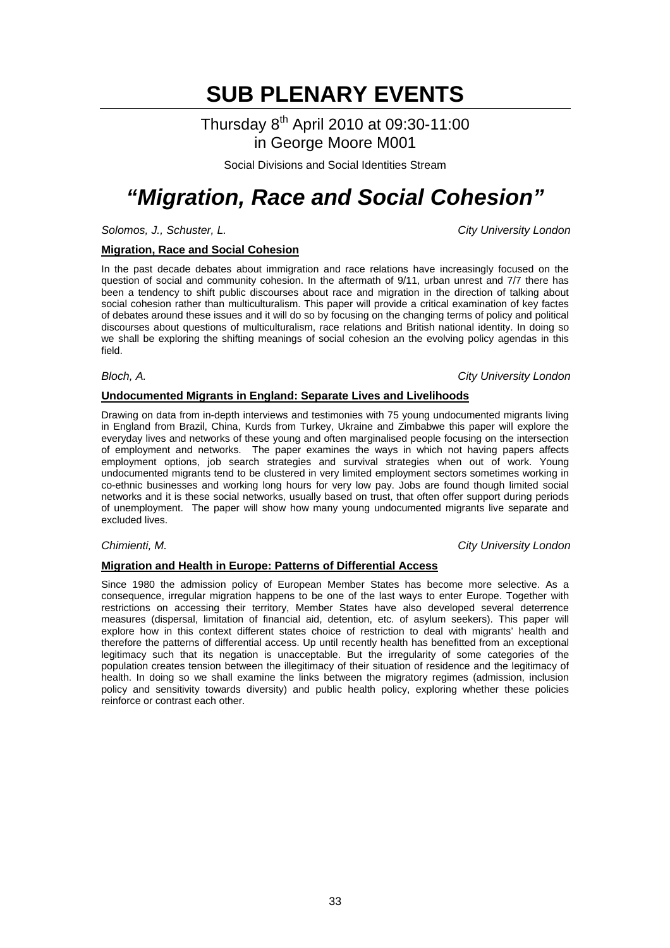### Thursday 8th April 2010 at 09:30-11:00 in George Moore M001

Social Divisions and Social Identities Stream

## *"Migration, Race and Social Cohesion"*

*Solomos, J., Schuster, L. City University London*

### **Migration, Race and Social Cohesion**

In the past decade debates about immigration and race relations have increasingly focused on the question of social and community cohesion. In the aftermath of 9/11, urban unrest and 7/7 there has been a tendency to shift public discourses about race and migration in the direction of talking about social cohesion rather than multiculturalism. This paper will provide a critical examination of key factes of debates around these issues and it will do so by focusing on the changing terms of policy and political discourses about questions of multiculturalism, race relations and British national identity. In doing so we shall be exploring the shifting meanings of social cohesion an the evolving policy agendas in this field.

### *Bloch, A. City University London*

### **Undocumented Migrants in England: Separate Lives and Livelihoods**

Drawing on data from in-depth interviews and testimonies with 75 young undocumented migrants living in England from Brazil, China, Kurds from Turkey, Ukraine and Zimbabwe this paper will explore the everyday lives and networks of these young and often marginalised people focusing on the intersection of employment and networks. The paper examines the ways in which not having papers affects employment options, job search strategies and survival strategies when out of work. Young undocumented migrants tend to be clustered in very limited employment sectors sometimes working in co-ethnic businesses and working long hours for very low pay. Jobs are found though limited social networks and it is these social networks, usually based on trust, that often offer support during periods of unemployment. The paper will show how many young undocumented migrants live separate and excluded lives.

*Chimienti, M. City University London*

### **Migration and Health in Europe: Patterns of Differential Access**

Since 1980 the admission policy of European Member States has become more selective. As a consequence, irregular migration happens to be one of the last ways to enter Europe. Together with restrictions on accessing their territory, Member States have also developed several deterrence measures (dispersal, limitation of financial aid, detention, etc. of asylum seekers). This paper will explore how in this context different states choice of restriction to deal with migrants' health and therefore the patterns of differential access. Up until recently health has benefitted from an exceptional legitimacy such that its negation is unacceptable. But the irregularity of some categories of the population creates tension between the illegitimacy of their situation of residence and the legitimacy of health. In doing so we shall examine the links between the migratory regimes (admission, inclusion policy and sensitivity towards diversity) and public health policy, exploring whether these policies reinforce or contrast each other.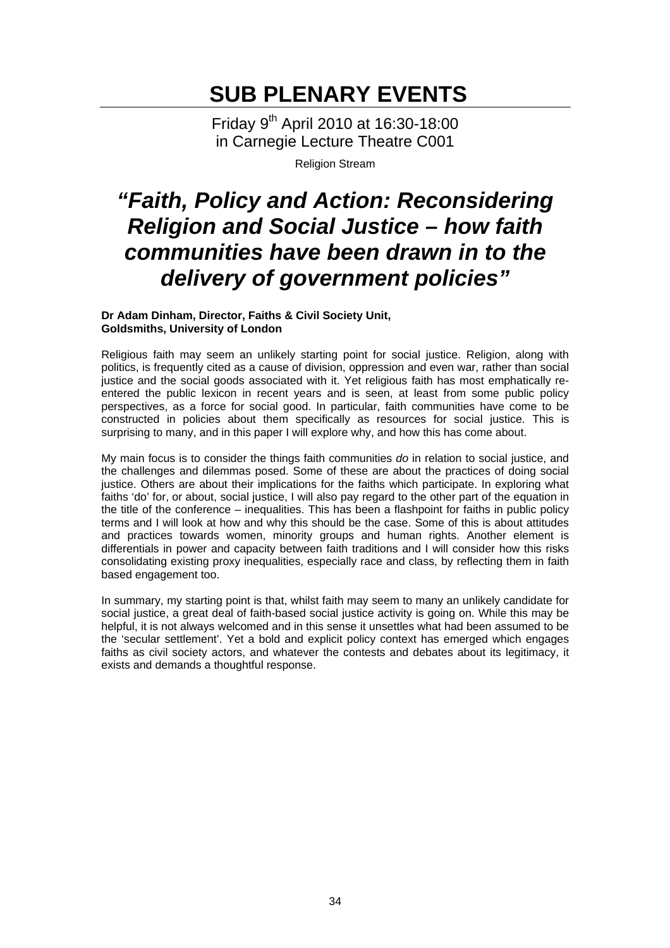Friday 9th April 2010 at 16:30-18:00 in Carnegie Lecture Theatre C001

Religion Stream

## *"Faith, Policy and Action: Reconsidering Religion and Social Justice – how faith communities have been drawn in to the delivery of government policies"*

**Dr Adam Dinham, Director, Faiths & Civil Society Unit, Goldsmiths, University of London** 

Religious faith may seem an unlikely starting point for social justice. Religion, along with politics, is frequently cited as a cause of division, oppression and even war, rather than social justice and the social goods associated with it. Yet religious faith has most emphatically reentered the public lexicon in recent years and is seen, at least from some public policy perspectives, as a force for social good. In particular, faith communities have come to be constructed in policies about them specifically as resources for social justice. This is surprising to many, and in this paper I will explore why, and how this has come about.

My main focus is to consider the things faith communities *do* in relation to social justice, and the challenges and dilemmas posed. Some of these are about the practices of doing social justice. Others are about their implications for the faiths which participate. In exploring what faiths 'do' for, or about, social justice, I will also pay regard to the other part of the equation in the title of the conference – inequalities. This has been a flashpoint for faiths in public policy terms and I will look at how and why this should be the case. Some of this is about attitudes and practices towards women, minority groups and human rights. Another element is differentials in power and capacity between faith traditions and I will consider how this risks consolidating existing proxy inequalities, especially race and class, by reflecting them in faith based engagement too.

In summary, my starting point is that, whilst faith may seem to many an unlikely candidate for social justice, a great deal of faith-based social justice activity is going on. While this may be helpful, it is not always welcomed and in this sense it unsettles what had been assumed to be the 'secular settlement'. Yet a bold and explicit policy context has emerged which engages faiths as civil society actors, and whatever the contests and debates about its legitimacy, it exists and demands a thoughtful response.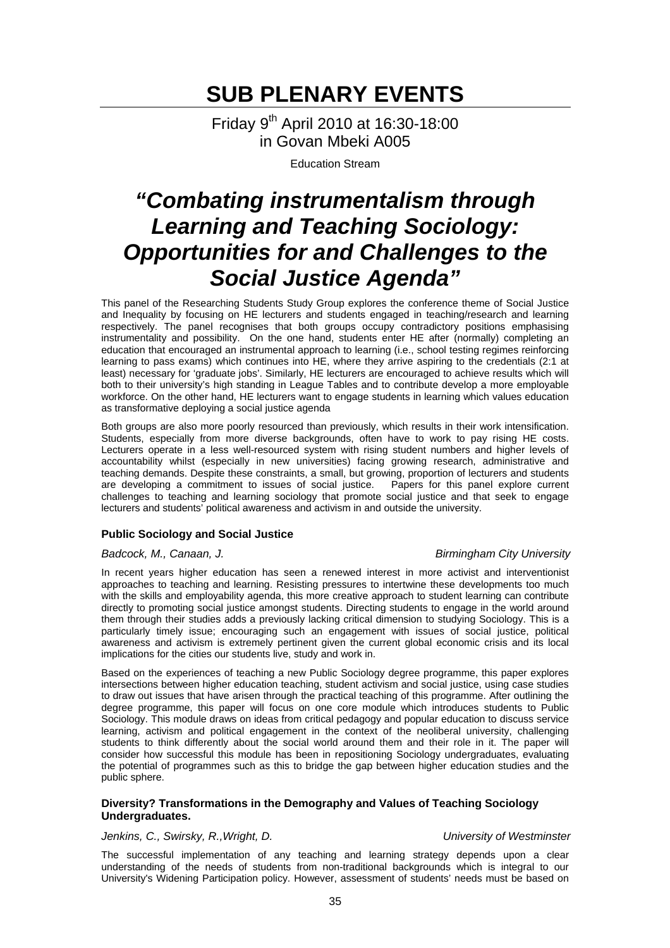Friday 9th April 2010 at 16:30-18:00 in Govan Mbeki A005

Education Stream

## *"Combating instrumentalism through Learning and Teaching Sociology: Opportunities for and Challenges to the Social Justice Agenda"*

This panel of the Researching Students Study Group explores the conference theme of Social Justice and Inequality by focusing on HE lecturers and students engaged in teaching/research and learning respectively. The panel recognises that both groups occupy contradictory positions emphasising instrumentality and possibility. On the one hand, students enter HE after (normally) completing an education that encouraged an instrumental approach to learning (i.e., school testing regimes reinforcing learning to pass exams) which continues into HE, where they arrive aspiring to the credentials (2:1 at least) necessary for 'graduate jobs'. Similarly, HE lecturers are encouraged to achieve results which will both to their university's high standing in League Tables and to contribute develop a more employable workforce. On the other hand, HE lecturers want to engage students in learning which values education as transformative deploying a social justice agenda

Both groups are also more poorly resourced than previously, which results in their work intensification. Students, especially from more diverse backgrounds, often have to work to pay rising HE costs. Lecturers operate in a less well-resourced system with rising student numbers and higher levels of accountability whilst (especially in new universities) facing growing research, administrative and teaching demands. Despite these constraints, a small, but growing, proportion of lecturers and students are developing a commitment to issues of social justice. Papers for this panel explore current are developing a commitment to issues of social justice. challenges to teaching and learning sociology that promote social justice and that seek to engage lecturers and students' political awareness and activism in and outside the university.

### **Public Sociology and Social Justice**

### *Badcock, M., Canaan, J. Birmingham City University*

### In recent years higher education has seen a renewed interest in more activist and interventionist approaches to teaching and learning. Resisting pressures to intertwine these developments too much with the skills and employability agenda, this more creative approach to student learning can contribute directly to promoting social justice amongst students. Directing students to engage in the world around them through their studies adds a previously lacking critical dimension to studying Sociology. This is a particularly timely issue; encouraging such an engagement with issues of social justice, political awareness and activism is extremely pertinent given the current global economic crisis and its local implications for the cities our students live, study and work in.

Based on the experiences of teaching a new Public Sociology degree programme, this paper explores intersections between higher education teaching, student activism and social justice, using case studies to draw out issues that have arisen through the practical teaching of this programme. After outlining the degree programme, this paper will focus on one core module which introduces students to Public Sociology. This module draws on ideas from critical pedagogy and popular education to discuss service learning, activism and political engagement in the context of the neoliberal university, challenging students to think differently about the social world around them and their role in it. The paper will consider how successful this module has been in repositioning Sociology undergraduates, evaluating the potential of programmes such as this to bridge the gap between higher education studies and the public sphere.

### **Diversity? Transformations in the Demography and Values of Teaching Sociology Undergraduates.**

### *Jenkins, C., Swirsky, R.,Wright, D. University of Westminster*

The successful implementation of any teaching and learning strategy depends upon a clear understanding of the needs of students from non-traditional backgrounds which is integral to our University's Widening Participation policy. However, assessment of students' needs must be based on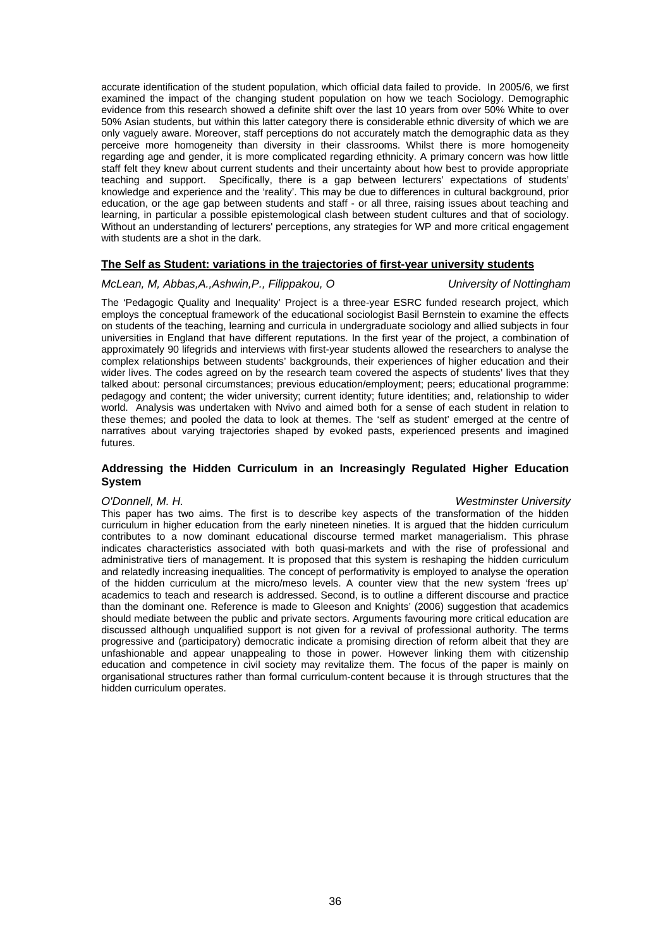accurate identification of the student population, which official data failed to provide. In 2005/6, we first examined the impact of the changing student population on how we teach Sociology. Demographic evidence from this research showed a definite shift over the last 10 years from over 50% White to over 50% Asian students, but within this latter category there is considerable ethnic diversity of which we are only vaguely aware. Moreover, staff perceptions do not accurately match the demographic data as they perceive more homogeneity than diversity in their classrooms. Whilst there is more homogeneity regarding age and gender, it is more complicated regarding ethnicity. A primary concern was how little staff felt they knew about current students and their uncertainty about how best to provide appropriate teaching and support. Specifically, there is a gap between lecturers' expectations of students' knowledge and experience and the 'reality'. This may be due to differences in cultural background, prior education, or the age gap between students and staff - or all three, raising issues about teaching and learning, in particular a possible epistemological clash between student cultures and that of sociology. Without an understanding of lecturers' perceptions, any strategies for WP and more critical engagement with students are a shot in the dark.

### **The Self as Student: variations in the trajectories of first-year university students**

### *McLean, M, Abbas,A.,Ashwin,P., Filippakou, O University of Nottingham*

The 'Pedagogic Quality and Inequality' Project is a three-year ESRC funded research project, which employs the conceptual framework of the educational sociologist Basil Bernstein to examine the effects on students of the teaching, learning and curricula in undergraduate sociology and allied subjects in four universities in England that have different reputations. In the first year of the project, a combination of approximately 90 lifegrids and interviews with first-year students allowed the researchers to analyse the complex relationships between students' backgrounds, their experiences of higher education and their wider lives. The codes agreed on by the research team covered the aspects of students' lives that they talked about: personal circumstances; previous education/employment; peers; educational programme: pedagogy and content; the wider university; current identity; future identities; and, relationship to wider world. Analysis was undertaken with Nvivo and aimed both for a sense of each student in relation to these themes; and pooled the data to look at themes. The 'self as student' emerged at the centre of narratives about varying trajectories shaped by evoked pasts, experienced presents and imagined futures.

### **Addressing the Hidden Curriculum in an Increasingly Regulated Higher Education System**

#### *O'Donnell, M. H. Westminster University*

This paper has two aims. The first is to describe key aspects of the transformation of the hidden curriculum in higher education from the early nineteen nineties. It is argued that the hidden curriculum contributes to a now dominant educational discourse termed market managerialism. This phrase indicates characteristics associated with both quasi-markets and with the rise of professional and administrative tiers of management. It is proposed that this system is reshaping the hidden curriculum and relatedly increasing inequalities. The concept of performativity is employed to analyse the operation of the hidden curriculum at the micro/meso levels. A counter view that the new system 'frees up' academics to teach and research is addressed. Second, is to outline a different discourse and practice than the dominant one. Reference is made to Gleeson and Knights' (2006) suggestion that academics should mediate between the public and private sectors. Arguments favouring more critical education are discussed although unqualified support is not given for a revival of professional authority. The terms progressive and (participatory) democratic indicate a promising direction of reform albeit that they are unfashionable and appear unappealing to those in power. However linking them with citizenship education and competence in civil society may revitalize them. The focus of the paper is mainly on organisational structures rather than formal curriculum-content because it is through structures that the hidden curriculum operates.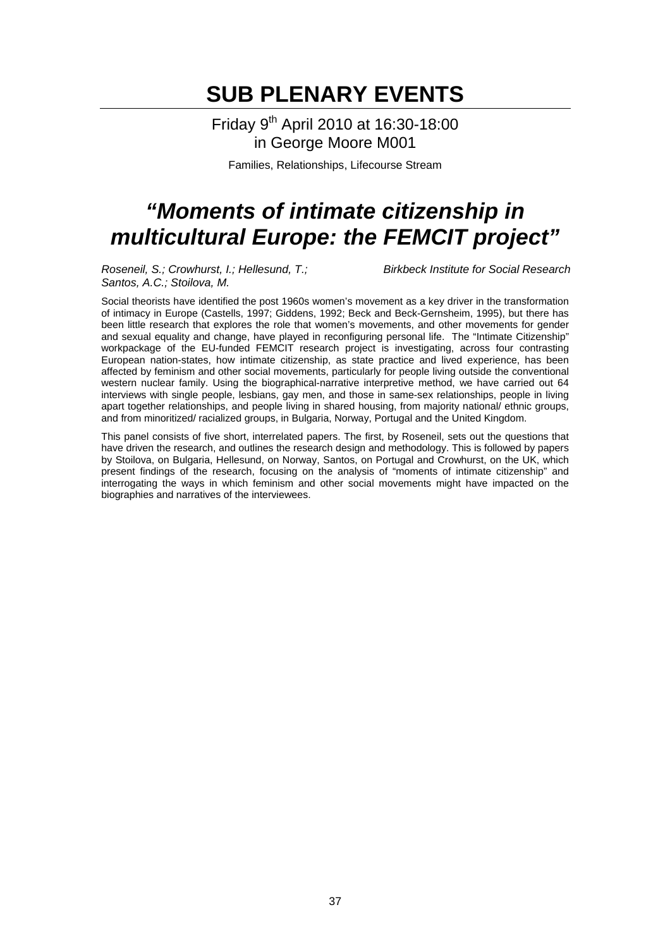Friday 9th April 2010 at 16:30-18:00 in George Moore M001

Families, Relationships, Lifecourse Stream

## *"Moments of intimate citizenship in multicultural Europe: the FEMCIT project"*

*Roseneil, S.; Crowhurst, I.; Hellesund, T.; Birkbeck Institute for Social Research Santos, A.C.; Stoilova, M.*

Social theorists have identified the post 1960s women's movement as a key driver in the transformation of intimacy in Europe (Castells, 1997; Giddens, 1992; Beck and Beck-Gernsheim, 1995), but there has been little research that explores the role that women's movements, and other movements for gender and sexual equality and change, have played in reconfiguring personal life. The "Intimate Citizenship" workpackage of the EU-funded FEMCIT research project is investigating, across four contrasting European nation-states, how intimate citizenship, as state practice and lived experience, has been affected by feminism and other social movements, particularly for people living outside the conventional western nuclear family. Using the biographical-narrative interpretive method, we have carried out 64 interviews with single people, lesbians, gay men, and those in same-sex relationships, people in living apart together relationships, and people living in shared housing, from majority national/ ethnic groups, and from minoritized/ racialized groups, in Bulgaria, Norway, Portugal and the United Kingdom.

This panel consists of five short, interrelated papers. The first, by Roseneil, sets out the questions that have driven the research, and outlines the research design and methodology. This is followed by papers by Stoilova, on Bulgaria, Hellesund, on Norway, Santos, on Portugal and Crowhurst, on the UK, which present findings of the research, focusing on the analysis of "moments of intimate citizenship" and interrogating the ways in which feminism and other social movements might have impacted on the biographies and narratives of the interviewees.